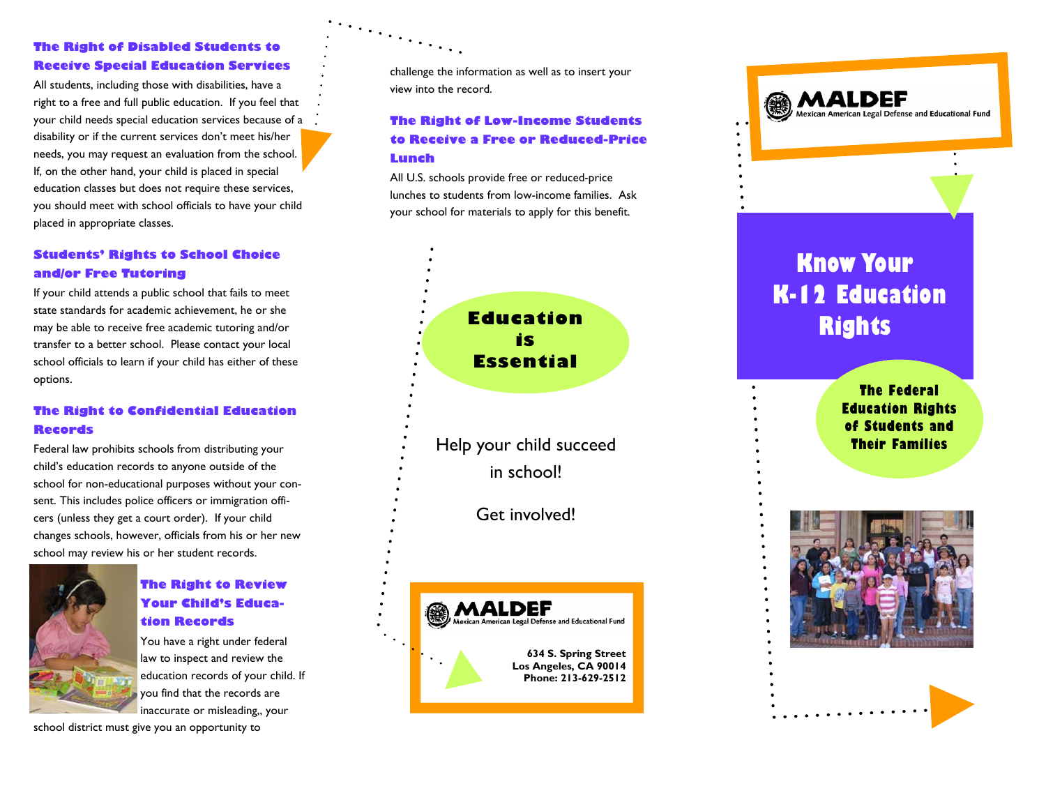#### **The Right of Disabled Students to Receive Special Education Services**

All students, including those with disabilities, have a right to a free and full public education. If you feel that your child needs special education services because of a disability or if the current services don't meet his/her needs, you may request an evaluation from the school. If, on the other hand, your child is placed in special education classes but does not require these services, you should meet with school officials to have your child placed in appropriate classes.

#### **Students' Rights to School Choice and/or Free Tutoring**

If your child attends a public school that fails to meet state standards for academic achievement, he or she may be able to receive free academic tutoring and/or transfer to a better school. Please contact your local school officials to learn if your child has either of these options.

#### **The Right to Confidential Education Records**

Federal law prohibits schools from distributing your child's education records to anyone outside of the school for non-educational purposes without your consent. This includes police officers or immigration officers (unless they get a court order). If your child changes schools, however, officials from his or her new school may review his or her student records.



#### **The Right to Review Your Child's Education Records**

You have a right under federal law to inspect and review the education records of your child. If you find that the records are inaccurate or misleading,, your

school district must give you an opportunity to

challenge the information as well as to insert your view into the record.

 $\mathcal{L}_{\mathcal{L}_{\mathcal{L}_{\mathcal{L}_{\mathcal{L}}}}}$ 

#### **The Right of Low-Income Students to Receive a Free or Reduced-Price Lunch**

All U.S. schools provide free or reduced-price lunches to students from low-income families. Ask your school for materials to apply for this benefit.



Get involved!



Mexican American Legal Defense and Educational Fund

## **Know Your K-12 Education Rights**

**The Federal Education Rights of Students and**